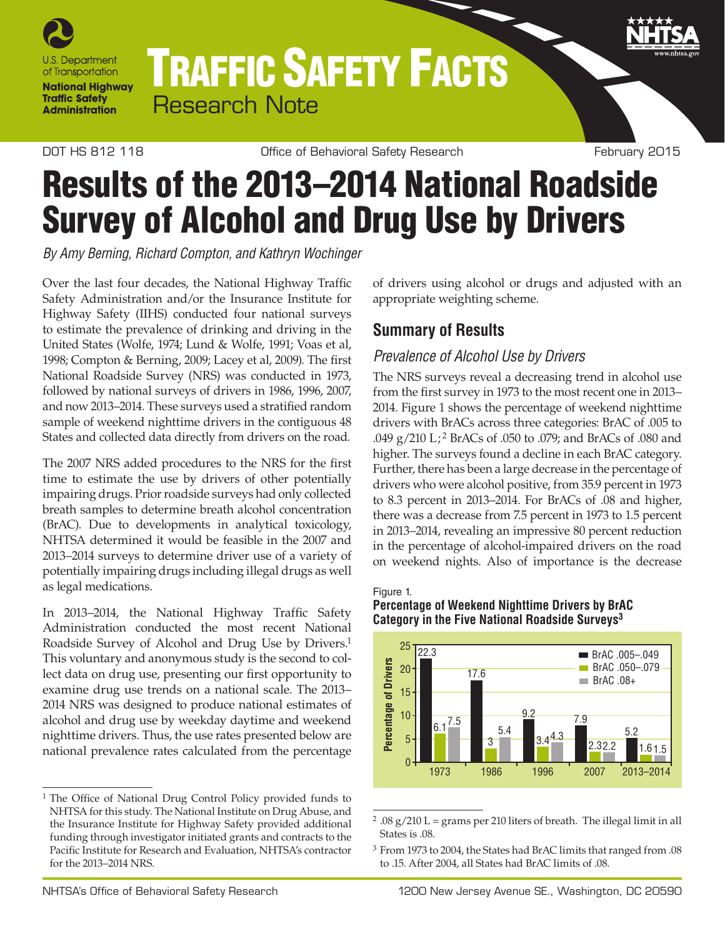

# TRAFFIC SAFETY FACTS Research Note

DOT HS 812 118 **DOT HS 812 118** Office of Behavioral Safety Research February 2015

## Results of the 2013–2014 National Roadside Survey of Alcohol and Drug Use by Drivers

*By Amy Berning, Richard Compton, and Kathryn Wochinger*

Over the last four decades, the National Highway Traffic Safety Administration and/or the Insurance Institute for Highway Safety (IIHS) conducted four national surveys to estimate the prevalence of drinking and driving in the United States (Wolfe, 1974; Lund & Wolfe, 1991; Voas et al, 1998; Compton & Berning, 2009; Lacey et al, 2009). The first National Roadside Survey (NRS) was conducted in 1973, followed by national surveys of drivers in 1986, 1996, 2007, and now 2013–2014. These surveys used a stratified random sample of weekend nighttime drivers in the contiguous 48 States and collected data directly from drivers on the road.

The 2007 NRS added procedures to the NRS for the first time to estimate the use by drivers of other potentially impairing drugs. Prior roadside surveys had only collected breath samples to determine breath alcohol concentration (BrAC). Due to developments in analytical toxicology, NHTSA determined it would be feasible in the 2007 and 2013–2014 surveys to determine driver use of a variety of potentially impairing drugs including illegal drugs as well as legal medications.

In 2013–2014, the National Highway Traffic Safety Administration conducted the most recent National Roadside Survey of Alcohol and Drug Use by Drivers.<sup>1</sup> This voluntary and anonymous study is the second to collect data on drug use, presenting our first opportunity to examine drug use trends on a national scale. The 2013– 2014 NRS was designed to produce national estimates of alcohol and drug use by weekday daytime and weekend nighttime drivers. Thus, the use rates presented below are national prevalence rates calculated from the percentage

<span id="page-0-1"></span><sup>1</sup> The Office of National Drug Control Policy provided funds to [NHTSA for this study. The National Institute on Drug Abuse, and](#page-0-1)  [the Insurance Institute for Highway Safety provided additional](#page-0-1) [funding through investigator initiated grants and contracts to the](#page-0-1) [Pacific Institute for Research and Evaluation, NHTSA's contractor](#page-0-1)  [for the 2013–2014 NRS.](#page-0-1)

of drivers using alcohol or drugs and adjusted with an appropriate weighting scheme.

## **Summary of Results**

## *Prevalence of Alcohol Use by Drivers*

The NRS surveys reveal a decreasing trend in alcohol use from the first survey in 1973 to the most recent one in 2013– 2014. Figure 1 shows the percentage of weekend nighttime drivers with BrACs across three categories: BrAC of .005 to .049 g/210 L; [2](#page-0-0) BrACs of .050 to .079; and BrACs of .080 and higher. The surveys found a decline in each BrAC category. Further, there has been a large decrease in the percentage of drivers who were alcohol positive, from 35.9 percent in 1973 to 8.3 percent in 2013–2014. For BrACs of .08 and higher, there was a decrease from 7.5 percent in 1973 to 1.5 percent in 2013–2014, revealing an impressive 80 percent reduction in the percentage of alcohol-impaired drivers on the road on weekend nights. Also of importance is the decrease

## Figure 1.

### **Percentage of Weekend Nighttime Drivers by BrAC Category in the Five National Roadside Surveys[3](#page-0-2)**



<span id="page-0-0"></span> $2.08$  g/210 L = grams per 210 liters of breath. The illegal limit in all States is .0[8.](#page-0-1)

<span id="page-0-2"></span><sup>3</sup> [From 1973 to 2004, the States had BrAC limits that ranged from .08](#page-0-1)  [to .15. After 2004, all States had BrAC limits of .08.](#page-0-1)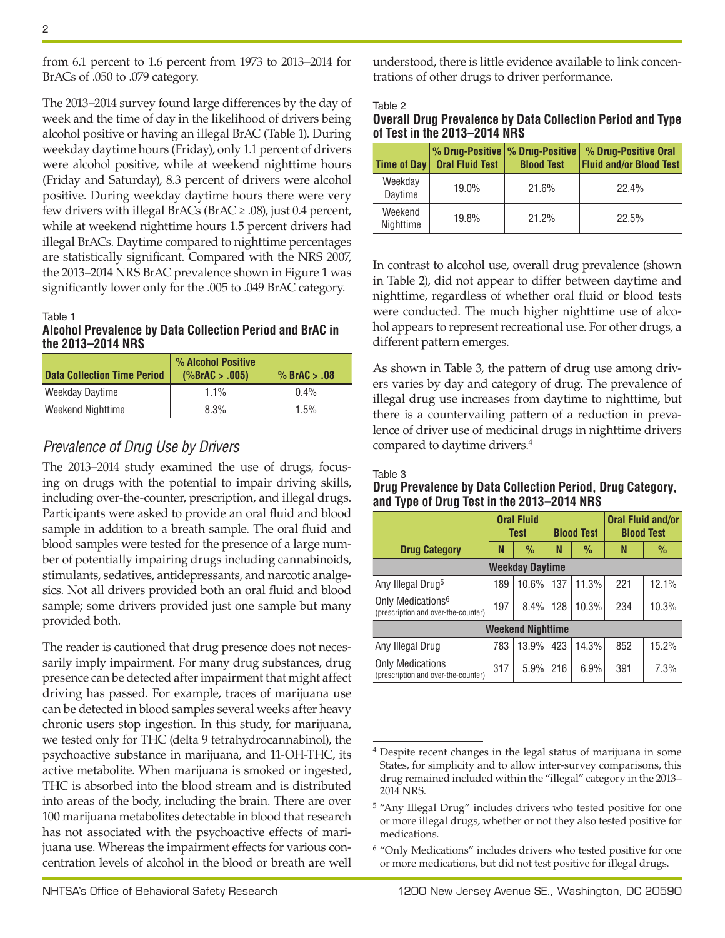from 6.1 percent to 1.6 percent from 1973 to 2013–2014 for BrACs of .050 to .079 category.

The 2013–2014 survey found large differences by the day of week and the time of day in the likelihood of drivers being alcohol positive or having an illegal BrAC (Table 1). During weekday daytime hours (Friday), only 1.1 percent of drivers were alcohol positive, while at weekend nighttime hours (Friday and Saturday), 8.3 percent of drivers were alcohol positive. During weekday daytime hours there were very few drivers with illegal BrACs (BrAC  $\geq$  .08), just 0.4 percent, while at weekend nighttime hours 1.5 percent drivers had illegal BrACs. Daytime compared to nighttime percentages are statistically significant. Compared with the NRS 2007, the 2013–2014 NRS BrAC prevalence shown in Figure 1 was significantly lower only for the .005 to .049 BrAC category.

#### Table 1

#### **Alcohol Prevalence by Data Collection Period and BrAC in the 2013–2014 NRS**

| <b>Data Collection Time Period</b> | % Alcohol Positive<br>(%BrAC > .005) | % BrAC $> .08$ |
|------------------------------------|--------------------------------------|----------------|
| Weekday Daytime                    | 1.1%                                 | $0.4\%$        |
| Weekend Nighttime                  | 8.3%                                 | 1.5%           |

### *Prevalence of Drug Use by Drivers*

The 2013–2014 study examined the use of drugs, focusing on drugs with the potential to impair driving skills, including over-the-counter, prescription, and illegal drugs. Participants were asked to provide an oral fluid and blood sample in addition to a breath sample. The oral fluid and blood samples were tested for the presence of a large number of potentially impairing drugs including cannabinoids, stimulants, sedatives, antidepressants, and narcotic analgesics. Not all drivers provided both an oral fluid and blood sample; some drivers provided just one sample but many provided both.

The reader is cautioned that drug presence does not necessarily imply impairment. For many drug substances, drug presence can be detected after impairment that might affect driving has passed. For example, traces of marijuana use can be detected in blood samples several weeks after heavy chronic users stop ingestion. In this study, for marijuana, we tested only for THC (delta 9 tetrahydrocannabinol), the psychoactive substance in marijuana, and 11-OH-THC, its active metabolite. When marijuana is smoked or ingested, THC is absorbed into the blood stream and is distributed into areas of the body, including the brain. There are over 100 marijuana metabolites detectable in blood that research has not associated with the psychoactive effects of marijuana use. Whereas the impairment effects for various concentration levels of alcohol in the blood or breath are well understood, there is little evidence available to link concentrations of other drugs to driver performance.

#### Table 2

| Overall Drug Prevalence by Data Collection Period and Type |  |  |  |
|------------------------------------------------------------|--|--|--|
| of Test in the 2013–2014 NRS                               |  |  |  |

| Time of Day          | % Drug-Positive   % Drug-Positive<br><b>Oral Fluid Test</b> | <b>Blood Test</b> | % Drug-Positive Oral<br><b>Fluid and/or Blood Test</b> |
|----------------------|-------------------------------------------------------------|-------------------|--------------------------------------------------------|
| Weekday<br>Daytime   | 19.0%                                                       | 21.6%             | 22.4%                                                  |
| Weekend<br>Nighttime | 19.8%                                                       | 21.2%             | 22.5%                                                  |

In contrast to alcohol use, overall drug prevalence (shown in Table 2), did not appear to differ between daytime and nighttime, regardless of whether oral fluid or blood tests were conducted. The much higher nighttime use of alcohol appears to represent recreational use. For other drugs, a different pattern emerges.

As shown in Table 3, the pattern of drug use among drivers varies by day and category of drug. The prevalence of illegal drug use increases from daytime to nighttime, but there is a countervailing pattern of a reduction in prevalence of driver use of medicinal drugs in nighttime drivers compared to daytime drivers[.4](#page-1-0)

#### Table 3

#### **Drug Prevalence by Data Collection Period, Drug Category, and Type of Drug Test in the 2013–2014 NRS**

|                                                                      | <b>Oral Fluid</b><br><b>Test</b> |               |     | <b>Blood Test</b> | <b>Oral Fluid and/or</b><br><b>Blood Test</b> |               |  |  |
|----------------------------------------------------------------------|----------------------------------|---------------|-----|-------------------|-----------------------------------------------|---------------|--|--|
| <b>Drug Category</b>                                                 | N                                | $\frac{0}{0}$ |     | $\frac{0}{0}$     | N                                             | $\frac{0}{0}$ |  |  |
| <b>Weekday Daytime</b>                                               |                                  |               |     |                   |                                               |               |  |  |
| Any Illegal Drug <sup>5</sup>                                        | 189                              | 10.6%         | 137 | 11.3%             | 221                                           | 12.1%         |  |  |
| Only Medications <sup>6</sup><br>(prescription and over-the-counter) | 197                              | 8.4%          | 128 | 10.3%             | 234                                           | 10.3%         |  |  |
| <b>Weekend Nighttime</b>                                             |                                  |               |     |                   |                                               |               |  |  |
| Any Illegal Drug                                                     | 783                              | 13.9%         | 423 | 14.3%             | 852                                           | 15.2%         |  |  |
| <b>Only Medications</b><br>(prescription and over-the-counter)       | 317                              | 5.9%          | 216 | 6.9%              | 391                                           | 7.3%          |  |  |

<span id="page-1-0"></span><sup>4</sup> [Despite recent changes in the legal status of marijuana in some](#page-0-1)  [States, for simplicity and to allow inter-survey comparisons, this](#page-0-1)  [drug remained included within the "illegal" category in the 2013–](#page-0-1) [2014 NRS.](#page-0-1)

<span id="page-1-1"></span><sup>5</sup> ["Any Illegal Drug" includes drivers who tested positive for one](#page-0-1) [or more illegal drugs, whether or not they also tested positive for](#page-0-1)  [medications.](#page-0-1)

<span id="page-1-2"></span><sup>6</sup> "Only Medications" includes drivers who tested positive for one or more medications, but did not test positive for illegal drugs.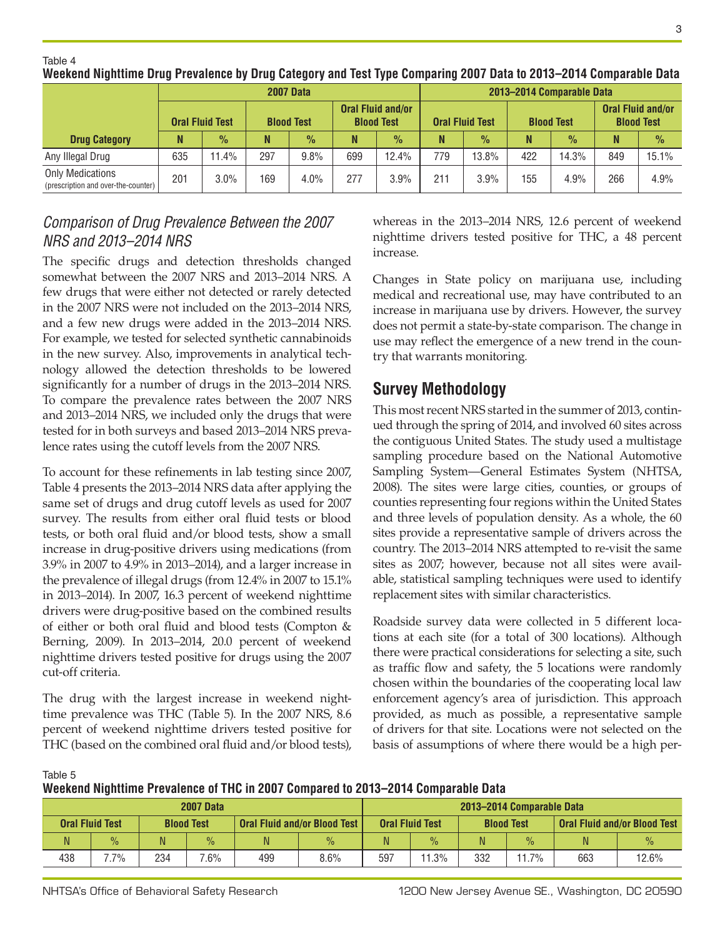|                                                                | <b>2007 Data</b>       |               |     |                   |     |                                        | 2013–2014 Comparable Data |               |                   |               |                                               |               |
|----------------------------------------------------------------|------------------------|---------------|-----|-------------------|-----|----------------------------------------|---------------------------|---------------|-------------------|---------------|-----------------------------------------------|---------------|
|                                                                | <b>Oral Fluid Test</b> |               |     | <b>Blood Test</b> |     | Oral Fluid and/or<br><b>Blood Test</b> | <b>Oral Fluid Test</b>    |               | <b>Blood Test</b> |               | <b>Oral Fluid and/or</b><br><b>Blood Test</b> |               |
| <b>Drug Category</b>                                           |                        | $\frac{9}{6}$ | N   | $\frac{9}{6}$     | N   | $\frac{9}{6}$                          |                           | $\frac{0}{0}$ |                   | $\frac{9}{6}$ |                                               | $\frac{9}{6}$ |
| Any Illegal Drug                                               | 635                    | 11.4%         | 297 | 9.8%              | 699 | 12.4%                                  | 779                       | 13.8%         | 422               | 14.3%         | 849                                           | 15.1%         |
| <b>Only Medications</b><br>(prescription and over-the-counter) | 201                    | 3.0%          | 169 | 4.0%              | 277 | 3.9%                                   | 211                       | 3.9%          | 155               | 4.9%          | 266                                           | 4.9%          |

**Weekend Nighttime Drug Prevalence by Drug Category and Test Type Comparing 2007 Data to 2013–2014 Comparable Data**

## *Comparison of Drug Prevalence Between the 2007 NRS and 2013–2014 NRS*

The specific drugs and detection thresholds changed somewhat between the 2007 NRS and 2013–2014 NRS. A few drugs that were either not detected or rarely detected in the 2007 NRS were not included on the 2013–2014 NRS, and a few new drugs were added in the 2013–2014 NRS. For example, we tested for selected synthetic cannabinoids in the new survey. Also, improvements in analytical technology allowed the detection thresholds to be lowered significantly for a number of drugs in the 2013–2014 NRS. To compare the prevalence rates between the 2007 NRS and 2013–2014 NRS, we included only the drugs that were tested for in both surveys and based 2013–2014 NRS prevalence rates using the cutoff levels from the 2007 NRS.

To account for these refinements in lab testing since 2007, Table 4 presents the 2013–2014 NRS data after applying the same set of drugs and drug cutoff levels as used for 2007 survey. The results from either oral fluid tests or blood tests, or both oral fluid and/or blood tests, show a small increase in drug-positive drivers using medications (from 3.9% in 2007 to 4.9% in 2013–2014), and a larger increase in the prevalence of illegal drugs (from 12.4% in 2007 to 15.1% in 2013–2014). In 2007, 16.3 percent of weekend nighttime drivers were drug-positive based on the combined results of either or both oral fluid and blood tests (Compton & Berning, 2009). In 2013–2014, 20.0 percent of weekend nighttime drivers tested positive for drugs using the 2007 cut-off criteria.

The drug with the largest increase in weekend nighttime prevalence was THC (Table 5). In the 2007 NRS, 8.6 percent of weekend nighttime drivers tested positive for THC (based on the combined oral fluid and/or blood tests),

whereas in the 2013–2014 NRS, 12.6 percent of weekend nighttime drivers tested positive for THC, a 48 percent increase.

Changes in State policy on marijuana use, including medical and recreational use, may have contributed to an increase in marijuana use by drivers. However, the survey does not permit a state-by-state comparison. The change in use may reflect the emergence of a new trend in the country that warrants monitoring.

## **Survey Methodology**

This most recent NRS started in the summer of 2013, continued through the spring of 2014, and involved 60 sites across the contiguous United States. The study used a multistage sampling procedure based on the National Automotive Sampling System—General Estimates System (NHTSA, 2008). The sites were large cities, counties, or groups of counties representing four regions within the United States and three levels of population density. As a whole, the 60 sites provide a representative sample of drivers across the country. The 2013–2014 NRS attempted to re-visit the same sites as 2007; however, because not all sites were available, statistical sampling techniques were used to identify replacement sites with similar characteristics.

Roadside survey data were collected in 5 different locations at each site (for a total of 300 locations). Although there were practical considerations for selecting a site, such as traffic flow and safety, the 5 locations were randomly chosen within the boundaries of the cooperating local law enforcement agency's area of jurisdiction. This approach provided, as much as possible, a representative sample of drivers for that site. Locations were not selected on the basis of assumptions of where there would be a high per-

Table 5

Table 4

**Weekend Nighttime Prevalence of THC in 2007 Compared to 2013–2014 Comparable Data**

| <b>2007 Data</b> |                        |     |                   |                                     |               |                        |               | 2013–2014 Comparable Data |               |                                     |               |
|------------------|------------------------|-----|-------------------|-------------------------------------|---------------|------------------------|---------------|---------------------------|---------------|-------------------------------------|---------------|
|                  | <b>Oral Fluid Test</b> |     | <b>Blood Test</b> | <b>Oral Fluid and/or Blood Test</b> |               | <b>Oral Fluid Test</b> |               | <b>Blood Test</b>         |               | <b>Oral Fluid and/or Blood Test</b> |               |
|                  | $\frac{0}{0}$          | N.  | $\frac{0}{0}$     | N                                   | $\frac{0}{0}$ | N                      | $\frac{0}{0}$ |                           | $\frac{0}{0}$ | N                                   | $\frac{0}{2}$ |
| 438              | $.7\%$                 | 234 | $.6\%$            | 499                                 | 8.6%          | 597                    | 11.3%         | 332                       | 11.7%         | 663                                 | 12.6%         |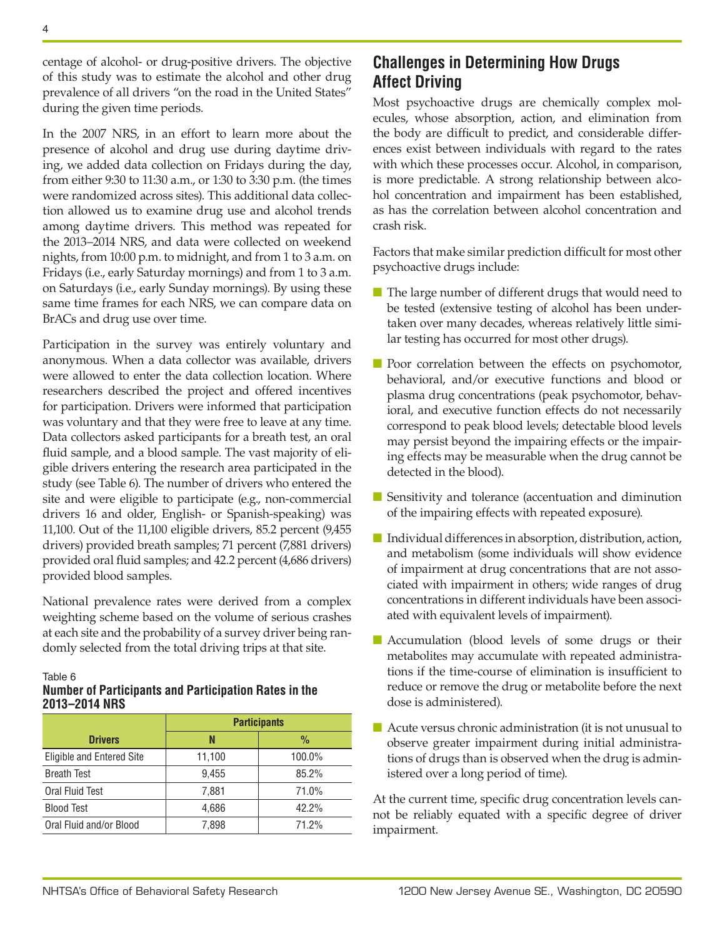centage of alcohol- or drug-positive drivers. The objective of this study was to estimate the alcohol and other drug prevalence of all drivers "on the road in the United States" during the given time periods.

In the 2007 NRS, in an effort to learn more about the presence of alcohol and drug use during daytime driving, we added data collection on Fridays during the day, from either 9:30 to 11:30 a.m., or 1:30 to 3:30 p.m. (the times were randomized across sites). This additional data collection allowed us to examine drug use and alcohol trends among daytime drivers. This method was repeated for the 2013–2014 NRS, and data were collected on weekend nights, from 10:00 p.m. to midnight, and from 1 to 3 a.m. on Fridays (i.e., early Saturday mornings) and from 1 to 3 a.m. on Saturdays (i.e., early Sunday mornings). By using these same time frames for each NRS, we can compare data on BrACs and drug use over time.

Participation in the survey was entirely voluntary and anonymous. When a data collector was available, drivers were allowed to enter the data collection location. Where researchers described the project and offered incentives for participation. Drivers were informed that participation was voluntary and that they were free to leave at any time. Data collectors asked participants for a breath test, an oral fluid sample, and a blood sample. The vast majority of eligible drivers entering the research area participated in the study (see Table 6). The number of drivers who entered the site and were eligible to participate (e.g., non-commercial drivers 16 and older, English- or Spanish-speaking) was 11,100. Out of the 11,100 eligible drivers, 85.2 percent (9,455 drivers) provided breath samples; 71 percent (7,881 drivers) provided oral fluid samples; and 42.2 percent (4,686 drivers) provided blood samples.

National prevalence rates were derived from a complex weighting scheme based on the volume of serious crashes at each site and the probability of a survey driver being randomly selected from the total driving trips at that site.

#### Table 6

#### **Number of Participants and Participation Rates in the 2013–2014 NRS**

|                           | <b>Participants</b> |               |  |  |  |  |
|---------------------------|---------------------|---------------|--|--|--|--|
| <b>Drivers</b>            | N                   | $\frac{0}{0}$ |  |  |  |  |
| Eligible and Entered Site | 11,100              | 100.0%        |  |  |  |  |
| <b>Breath Test</b>        | 9.455               | 85.2%         |  |  |  |  |
| Oral Fluid Test           | 7,881               | 71.0%         |  |  |  |  |
| <b>Blood Test</b>         | 4.686               | 42.2%         |  |  |  |  |
| Oral Fluid and/or Blood   | 7,898               | 71.2%         |  |  |  |  |

## **Challenges in Determining How Drugs Affect Driving**

Most psychoactive drugs are chemically complex molecules, whose absorption, action, and elimination from the body are difficult to predict, and considerable differences exist between individuals with regard to the rates with which these processes occur. Alcohol, in comparison, is more predictable. A strong relationship between alcohol concentration and impairment has been established, as has the correlation between alcohol concentration and crash risk.

Factors that make similar prediction difficult for most other psychoactive drugs include:

- The large number of different drugs that would need to be tested (extensive testing of alcohol has been undertaken over many decades, whereas relatively little similar testing has occurred for most other drugs).
- Poor correlation between the effects on psychomotor, behavioral, and/or executive functions and blood or plasma drug concentrations (peak psychomotor, behavioral, and executive function effects do not necessarily correspond to peak blood levels; detectable blood levels may persist beyond the impairing effects or the impairing effects may be measurable when the drug cannot be detected in the blood).
- Sensitivity and tolerance (accentuation and diminution of the impairing effects with repeated exposure).
- Individual differences in absorption, distribution, action, and metabolism (some individuals will show evidence of impairment at drug concentrations that are not associated with impairment in others; wide ranges of drug concentrations in different individuals have been associated with equivalent levels of impairment).
- Accumulation (blood levels of some drugs or their metabolites may accumulate with repeated administrations if the time-course of elimination is insufficient to reduce or remove the drug or metabolite before the next dose is administered).
- Acute versus chronic administration (it is not unusual to observe greater impairment during initial administrations of drugs than is observed when the drug is administered over a long period of time).

At the current time, specific drug concentration levels cannot be reliably equated with a specific degree of driver impairment.